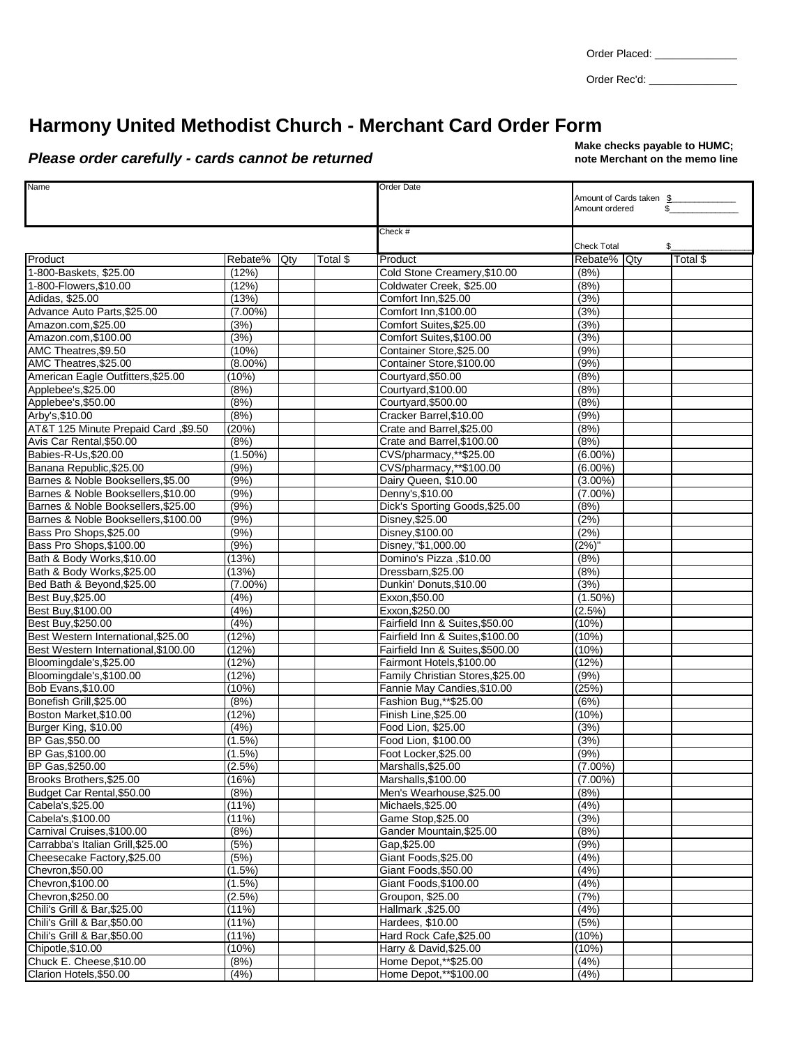| Order Placed: |  |
|---------------|--|
|               |  |

Order Rec'd: \_\_\_\_\_\_\_\_\_\_\_\_\_\_\_

# **Harmony United Methodist Church - Merchant Card Order Form**

## *Please order carefully - cards cannot be returned*

**Make checks payable to HUMC; note Merchant on the memo line**

| Name                                 |                |          | Order Date                       |                                            |          |
|--------------------------------------|----------------|----------|----------------------------------|--------------------------------------------|----------|
|                                      |                |          |                                  | Amount of Cards taken \$<br>Amount ordered |          |
|                                      |                |          |                                  |                                            |          |
|                                      |                |          | Check #                          |                                            |          |
|                                      |                |          |                                  | <b>Check Total</b>                         | \$       |
| Product                              | Rebate%<br>Qty | Total \$ | Product                          | Rebate% Qty                                | Total \$ |
| 1-800-Baskets, \$25.00               | (12%)          |          | Cold Stone Creamery, \$10.00     | (8%)                                       |          |
| 1-800-Flowers, \$10.00               | (12%)          |          | Coldwater Creek, \$25.00         | (8%)                                       |          |
| Adidas, \$25.00                      | (13%)          |          | Comfort Inn, \$25.00             | (3%)                                       |          |
| Advance Auto Parts, \$25.00          | $(7.00\%)$     |          | Comfort Inn, \$100.00            | (3%)                                       |          |
| Amazon.com, \$25.00                  | (3%)           |          | Comfort Suites, \$25.00          | (3%)                                       |          |
| Amazon.com.\$100.00                  | (3%)           |          | Comfort Suites.\$100.00          | (3%)                                       |          |
| AMC Theatres, \$9.50                 | (10%)          |          | Container Store, \$25.00         | (9% )                                      |          |
| AMC Theatres, \$25.00                | $(8.00\%)$     |          | Container Store, \$100.00        | (9%)                                       |          |
| American Eagle Outfitters, \$25.00   | (10%)          |          | Courtyard, \$50.00               | (8%)                                       |          |
| Applebee's, \$25.00                  | (8%)           |          | Courtyard, \$100.00              | (8%)                                       |          |
| Applebee's, \$50.00                  | (8%)           |          | Courtyard, \$500.00              | (8%)                                       |          |
| Arby's, \$10.00                      | (8%)           |          | Cracker Barrel, \$10.00          | (9%)                                       |          |
| AT&T 125 Minute Prepaid Card, \$9.50 | (20%)          |          | Crate and Barrel, \$25.00        | (8%)                                       |          |
| Avis Car Rental, \$50.00             | (8%)           |          | Crate and Barrel, \$100.00       | (8%)                                       |          |
| Babies-R-Us,\$20.00                  | $(1.50\%)$     |          | CVS/pharmacy,**\$25.00           | $(6.00\%)$                                 |          |
| Banana Republic, \$25.00             | (9% )          |          | CVS/pharmacy,**\$100.00          | $(6.00\%)$                                 |          |
| Barnes & Noble Booksellers, \$5.00   | (9% )          |          | Dairy Queen, \$10.00             | $(3.00\%)$                                 |          |
| Barnes & Noble Booksellers.\$10.00   | (9% )          |          | Denny's, \$10.00                 | $(7.00\%)$                                 |          |
| Barnes & Noble Booksellers.\$25.00   | (9% )          |          | Dick's Sporting Goods, \$25.00   | (8%)                                       |          |
| Barnes & Noble Booksellers, \$100.00 | (9%)           |          | Disney, \$25.00                  | (2%)                                       |          |
| Bass Pro Shops, \$25.00              | (9% )          |          | Disney, \$100.00                 | (2%)                                       |          |
| Bass Pro Shops, \$100.00             | (9%)           |          | Disney, "\$1,000.00              | $(2%)$ "                                   |          |
| Bath & Body Works, \$10.00           | (13%)          |          | Domino's Pizza ,\$10.00          | (8%)                                       |          |
| Bath & Body Works, \$25.00           | (13%)          |          | Dressbarn, \$25.00               | (8%)                                       |          |
| Bed Bath & Beyond, \$25.00           | $(7.00\%)$     |          | Dunkin' Donuts, \$10.00          | (3%)                                       |          |
| Best Buy, \$25.00                    | (4%)           |          | Exxon, \$50.00                   | $(1.50\%)$                                 |          |
| Best Buy, \$100.00                   | (4% )          |          | Exxon, \$250.00                  | $(2.5\%)$                                  |          |
| Best Buy, \$250.00                   | (4% )          |          | Fairfield Inn & Suites, \$50.00  | (10%)                                      |          |
| Best Western International, \$25.00  | (12%)          |          | Fairfield Inn & Suites, \$100.00 | (10%)                                      |          |
| Best Western International, \$100.00 | (12%)          |          | Fairfield Inn & Suites, \$500.00 | (10%)                                      |          |
| Bloomingdale's, \$25.00              | (12%)          |          | Fairmont Hotels, \$100.00        | (12%                                       |          |
| Bloomingdale's, \$100.00             | (12%)          |          | Family Christian Stores, \$25.00 | (9%)                                       |          |
| Bob Evans, \$10.00                   | (10%)          |          | Fannie May Candies, \$10.00      | (25%)                                      |          |
| Bonefish Grill, \$25.00              | (8%)           |          | Fashion Bug,**\$25.00            | (6%)                                       |          |
| Boston Market, \$10.00               | (12%)          |          | Finish Line, \$25.00             | (10%                                       |          |
| Burger King, \$10.00                 | (4%)           |          | Food Lion. \$25.00               | (3%)                                       |          |
| BP Gas, \$50.00                      | (1.5%)         |          | Food Lion, \$100.00              | (3%)                                       |          |
| BP Gas, \$100.00                     | (1.5%)         |          | Foot Locker, \$25.00             | (9% )                                      |          |
| BP Gas, \$250.00                     | (2.5%)         |          | Marshalls, \$25.00               | (7.00%)                                    |          |
| Brooks Brothers, \$25.00             | (16%)          |          | Marshalls, \$100.00              | $(7.00\%)$                                 |          |
| Budget Car Rental, \$50.00           | (8%)           |          | Men's Wearhouse, \$25.00         | (8%)                                       |          |
| Cabela's, \$25.00                    | (11%)          |          | Michaels, \$25.00                | (4%)                                       |          |
| Cabela's, \$100.00                   | (11%)          |          | Game Stop, \$25.00               | (3%)                                       |          |
| Carnival Cruises, \$100.00           | (8%)           |          | Gander Mountain, \$25.00         | (8%)                                       |          |
| Carrabba's Italian Grill, \$25.00    | (5%)           |          | Gap, \$25.00                     | (9% )                                      |          |
| Cheesecake Factory, \$25.00          | (5%)           |          | Giant Foods, \$25.00             | (4% )                                      |          |
| Chevron, \$50.00                     | (1.5%)         |          | Giant Foods, \$50.00             | (4%)                                       |          |
| Chevron, \$100.00                    | (1.5%)         |          | Giant Foods, \$100.00            | (4%)                                       |          |
| Chevron, \$250.00                    | (2.5%)         |          | Groupon, \$25.00                 | (7%)                                       |          |
| Chili's Grill & Bar, \$25.00         | (11%)          |          | Hallmark, \$25.00                | (4% )                                      |          |
| Chili's Grill & Bar,\$50.00          | (11%)          |          | Hardees, \$10.00                 | (5%)                                       |          |
| Chili's Grill & Bar, \$50.00         | (11%)          |          | Hard Rock Cafe, \$25.00          | (10%)                                      |          |
| Chipotle, \$10.00                    | (10%)          |          | Harry & David, \$25.00           | (10%)                                      |          |
| Chuck E. Cheese, \$10.00             | (8%)           |          | Home Depot,**\$25.00             | (4% )                                      |          |
| Clarion Hotels, \$50.00              | (4% )          |          | Home Depot,**\$100.00            | (4% )                                      |          |
|                                      |                |          |                                  |                                            |          |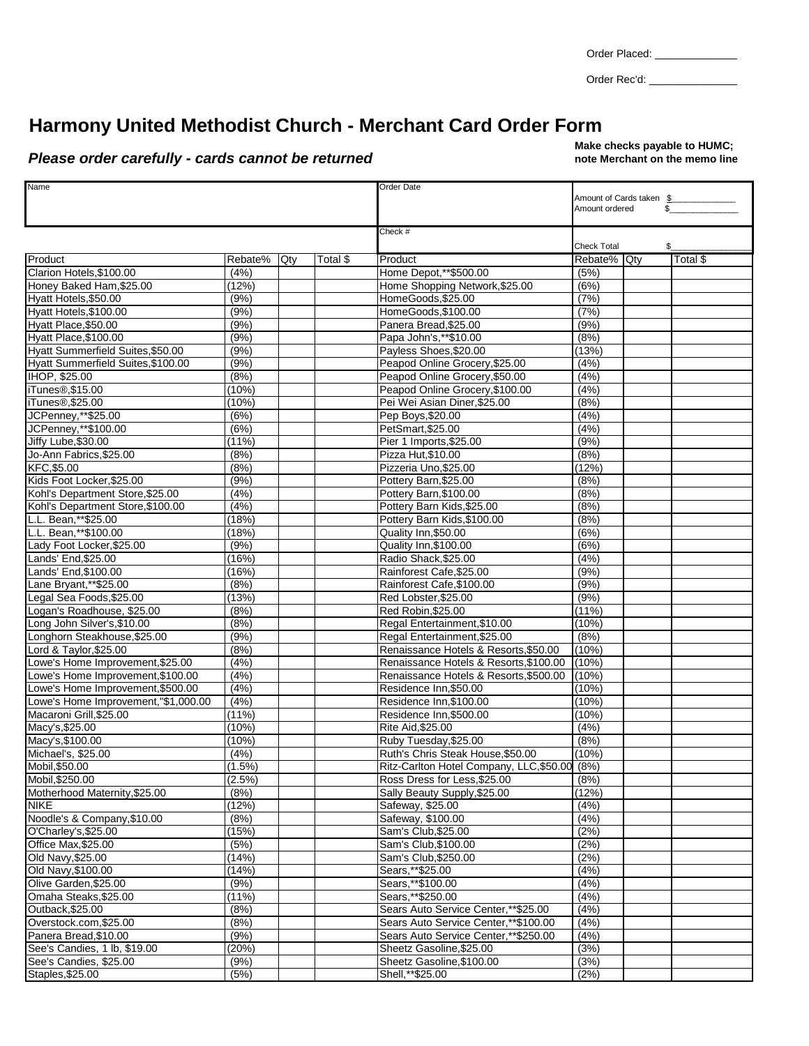| Order Placed: |  |
|---------------|--|
|               |  |

Order Rec'd: \_\_\_\_\_\_\_\_\_\_\_\_\_\_\_

# **Harmony United Methodist Church - Merchant Card Order Form**

## *Please order carefully - cards cannot be returned*

**Make checks payable to HUMC; note Merchant on the memo line**

| Name                                 |                |          | Order Date                               |                                            |          |
|--------------------------------------|----------------|----------|------------------------------------------|--------------------------------------------|----------|
|                                      |                |          |                                          | Amount of Cards taken \$<br>Amount ordered |          |
|                                      |                |          |                                          |                                            |          |
|                                      |                |          | Check #                                  |                                            |          |
|                                      |                |          |                                          | <b>Check Total</b>                         | \$       |
| Product                              | Rebate%<br>Qty | Total \$ | Product                                  | Rebate% Otv                                | Total \$ |
| Clarion Hotels, \$100.00             | (4%)           |          | Home Depot,**\$500.00                    | (5%)                                       |          |
| Honey Baked Ham, \$25.00             | (12%)          |          | Home Shopping Network, \$25.00           | (6%)                                       |          |
| Hyatt Hotels, \$50.00                | (9%)           |          | HomeGoods, \$25.00                       | (7%)                                       |          |
| Hyatt Hotels, \$100.00               | (9%)           |          | HomeGoods,\$100.00                       | (7%)                                       |          |
| Hyatt Place.\$50.00                  | (9% )          |          | Panera Bread, \$25.00                    | (9%)                                       |          |
| Hyatt Place, \$100.00                | (9%            |          | Papa John's,**\$10.00                    | (8%)                                       |          |
| Hyatt Summerfield Suites, \$50.00    | (9% )          |          | Payless Shoes, \$20.00                   | (13%)                                      |          |
| Hyatt Summerfield Suites, \$100.00   | (9% )          |          | Peapod Online Grocery, \$25.00           | (4%)                                       |          |
| IHOP, \$25.00                        | (8%)           |          | Peapod Online Grocery, \$50.00           | (4%)                                       |          |
| iTunes <sup>®</sup> ,\$15.00         | (10%)          |          | Peapod Online Grocery, \$100.00          | (4% )                                      |          |
| iTunes <sup>®</sup> ,\$25.00         | (10%)          |          | Pei Wei Asian Diner, \$25.00             | (8%)                                       |          |
| JCPenney,**\$25.00                   | (6%)           |          | Pep Boys, \$20.00                        | (4%)                                       |          |
| JCPenney,**\$100.00                  | (6%)           |          | PetSmart, \$25.00                        | (4% )                                      |          |
| Jiffy Lube, \$30.00                  | (11%)          |          | Pier 1 Imports, \$25.00                  | (9%)                                       |          |
| Jo-Ann Fabrics, \$25.00              | (8%)           |          | Pizza Hut, \$10.00                       | (8%)                                       |          |
| KFC, \$5.00                          | (8%)           |          | Pizzeria Uno, \$25.00                    | (12%)                                      |          |
| Kids Foot Locker, \$25.00            | (9% )          |          | Pottery Barn, \$25.00                    | (8%)                                       |          |
| Kohl's Department Store, \$25.00     | (4% )          |          | Pottery Barn, \$100.00                   | (8%)                                       |          |
| Kohl's Department Store, \$100.00    | (4% )          |          | Pottery Barn Kids, \$25.00               | (8%)                                       |          |
| L.L. Bean,**\$25.00                  | (18%)          |          | Pottery Barn Kids, \$100.00              | (8%)                                       |          |
| L.L. Bean,**\$100.00                 | (18%)          |          | Quality Inn, \$50.00                     | (6%)                                       |          |
| Lady Foot Locker, \$25.00            | (9%)           |          | Quality Inn, \$100.00                    | (6%)                                       |          |
| Lands' End, \$25.00                  | (16%)          |          | Radio Shack, \$25.00                     | (4%)                                       |          |
| Lands' End, \$100.00                 | (16%)          |          | Rainforest Cafe, \$25.00                 | (9% )                                      |          |
| Lane Bryant,**\$25.00                | (8%)           |          | Rainforest Cafe, \$100.00                | (9%)                                       |          |
| Legal Sea Foods, \$25.00             | (13%)          |          | Red Lobster, \$25.00                     | (9% )                                      |          |
| Logan's Roadhouse, \$25.00           | (8%)           |          | Red Robin, \$25.00                       | (11%                                       |          |
| Long John Silver's, \$10.00          | (8%)           |          | Regal Entertainment, \$10.00             | (10%)                                      |          |
| Longhorn Steakhouse, \$25.00         | (9% )          |          | Regal Entertainment, \$25.00             | (8%)                                       |          |
| Lord & Taylor, \$25.00               | (8%)           |          | Renaissance Hotels & Resorts, \$50.00    | (10%                                       |          |
| Lowe's Home Improvement, \$25.00     | (4% )          |          | Renaissance Hotels & Resorts, \$100.00   | (10%                                       |          |
| Lowe's Home Improvement, \$100.00    | (4%)           |          | Renaissance Hotels & Resorts, \$500.00   | (10%)                                      |          |
| Lowe's Home Improvement, \$500.00    | (4%)           |          | Residence Inn, \$50.00                   | (10%)                                      |          |
| Lowe's Home Improvement, "\$1,000.00 | (4%)           |          | Residence Inn.\$100.00                   | (10%)                                      |          |
| Macaroni Grill, \$25.00              | (11%)          |          | Residence Inn, \$500.00                  | (10%                                       |          |
| Macy's, \$25.00                      | (10%)          |          | Rite Aid, \$25.00                        | (4%)                                       |          |
| Macy's, \$100.00                     | (10%)          |          | Ruby Tuesday, \$25.00                    | (8%)                                       |          |
| Michael's, \$25.00                   | (4% )          |          | Ruth's Chris Steak House, \$50.00        | (10%                                       |          |
| Mobil, \$50.00                       | (1.5%)         |          | Ritz-Carlton Hotel Company, LLC, \$50.00 | (8%)                                       |          |
| Mobil, \$250.00                      | (2.5%)         |          | Ross Dress for Less, \$25.00             | $(8\%)$                                    |          |
| Motherhood Maternity, \$25.00        | (8%)           |          | Sally Beauty Supply, \$25.00             | (12%)                                      |          |
| <b>NIKE</b>                          | (12%)          |          | Safeway, \$25.00                         | (4%)                                       |          |
| Noodle's & Company, \$10.00          | (8%)           |          | Safeway, \$100.00                        | (4% )                                      |          |
| O'Charley's, \$25.00                 | (15%)          |          | Sam's Club, \$25.00                      | (2%)                                       |          |
| Office Max, \$25.00                  | (5%)           |          | Sam's Club, \$100.00                     | (2%)                                       |          |
| Old Navy, \$25.00                    | (14%)          |          | Sam's Club, \$250.00                     | (2%)                                       |          |
| Old Navy, \$100.00                   | (14%)          |          | Sears,**\$25.00                          | (4%)                                       |          |
| Olive Garden, \$25.00                | (9% )          |          | Sears,**\$100.00                         | (4%)                                       |          |
| Omaha Steaks, \$25.00                | (11%)          |          | Sears,**\$250.00                         | (4%)                                       |          |
| Outback, \$25.00                     | (8%)           |          | Sears Auto Service Center,**\$25.00      | (4% )                                      |          |
| Overstock.com, \$25.00               | (8%)           |          | Sears Auto Service Center,**\$100.00     | (4% )                                      |          |
| Panera Bread, \$10.00                | (9% )          |          | Sears Auto Service Center.**\$250.00     | (4%)                                       |          |
| See's Candies, 1 lb, \$19.00         | (20%)          |          | Sheetz Gasoline.\$25.00                  | (3%)                                       |          |
| See's Candies, \$25.00               | (9% )          |          | Sheetz Gasoline, \$100.00                | (3%)                                       |          |
| Staples, \$25.00                     | (5%)           |          | Shell,**\$25.00                          | (2%)                                       |          |
|                                      |                |          |                                          |                                            |          |